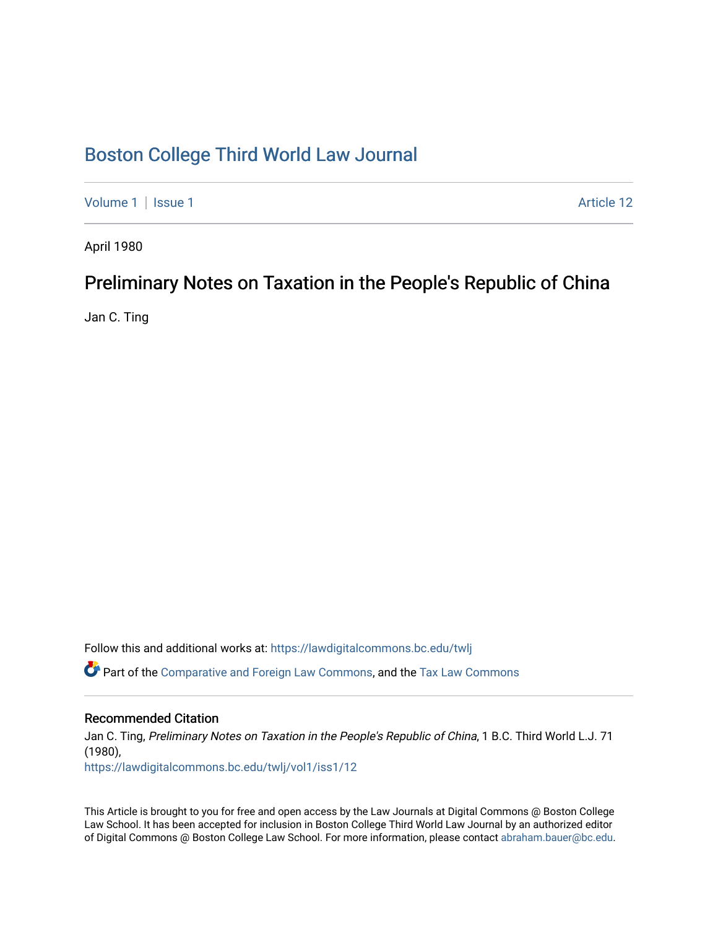# [Boston College Third World Law Journal](https://lawdigitalcommons.bc.edu/twlj)

[Volume 1](https://lawdigitalcommons.bc.edu/twlj/vol1) | [Issue 1](https://lawdigitalcommons.bc.edu/twlj/vol1/iss1) Article 12

April 1980

# Preliminary Notes on Taxation in the People's Republic of China

Jan C. Ting

Follow this and additional works at: [https://lawdigitalcommons.bc.edu/twlj](https://lawdigitalcommons.bc.edu/twlj?utm_source=lawdigitalcommons.bc.edu%2Ftwlj%2Fvol1%2Fiss1%2F12&utm_medium=PDF&utm_campaign=PDFCoverPages)  Part of the [Comparative and Foreign Law Commons,](http://network.bepress.com/hgg/discipline/836?utm_source=lawdigitalcommons.bc.edu%2Ftwlj%2Fvol1%2Fiss1%2F12&utm_medium=PDF&utm_campaign=PDFCoverPages) and the [Tax Law Commons](http://network.bepress.com/hgg/discipline/898?utm_source=lawdigitalcommons.bc.edu%2Ftwlj%2Fvol1%2Fiss1%2F12&utm_medium=PDF&utm_campaign=PDFCoverPages)

### Recommended Citation

Jan C. Ting, Preliminary Notes on Taxation in the People's Republic of China, 1 B.C. Third World L.J. 71 (1980), [https://lawdigitalcommons.bc.edu/twlj/vol1/iss1/12](https://lawdigitalcommons.bc.edu/twlj/vol1/iss1/12?utm_source=lawdigitalcommons.bc.edu%2Ftwlj%2Fvol1%2Fiss1%2F12&utm_medium=PDF&utm_campaign=PDFCoverPages) 

This Article is brought to you for free and open access by the Law Journals at Digital Commons @ Boston College Law School. It has been accepted for inclusion in Boston College Third World Law Journal by an authorized editor of Digital Commons @ Boston College Law School. For more information, please contact [abraham.bauer@bc.edu.](mailto:abraham.bauer@bc.edu)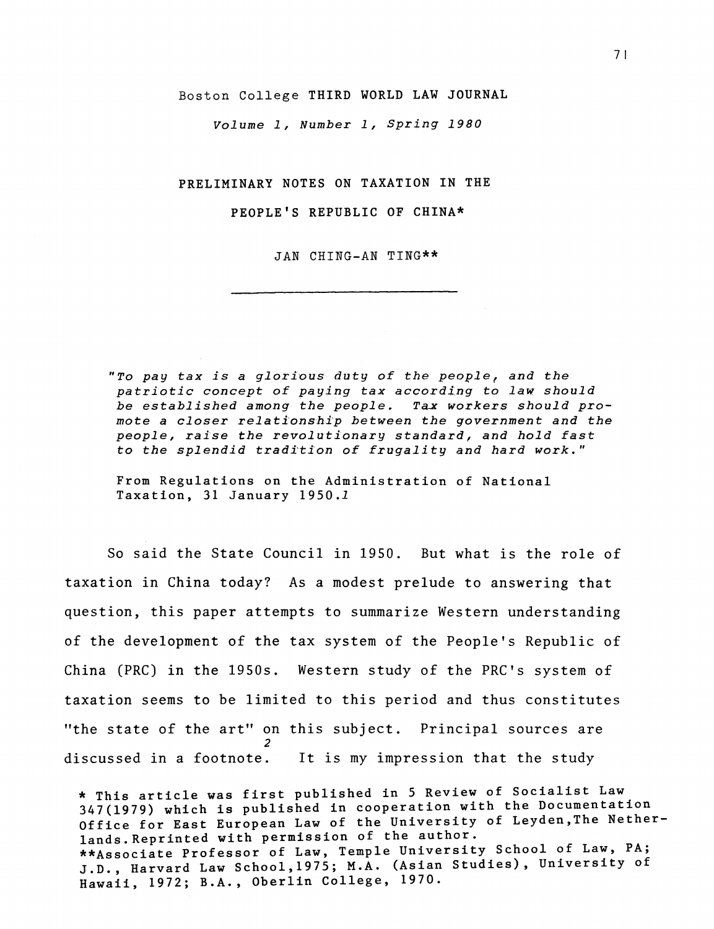Boston College THIRD WORLD LAW JOURNAL

*volume* 1, *Number* 1, *Spring 1980* 

#### PRELIMINARY NOTES ON TAXATION IN THE

### PEOPLE'S REPUBLIC OF CHINA\*

JAN CHING-AN TING\*\*

*"To pay tax is* a *glor£ous duty of the people, and the patriotic concept of paying tax according* to *law should be established among the people, Tax workers should promote* a *closer re1ati'onship between the government and the people, raise the revolutionary standard, and hold fast*  to *the splendid trad£tion of frugality and hard work."* 

From Regulations on the Administration of National Taxation, 31 January *1950.1* 

So said the State Council in 1950. But what is the role of taxation in China today? As a modest prelude to answering that question, this paper attempts to summarize Western understanding of the development of the tax system of the People's Republic of China (PRC) in the 1950s. Western study of the PRC's system of taxation seems to be limited to this period and thus constitutes "the state of the art" on this subject. Principal sources are 2 discussed in a footnote. It is my impression that the study

\* This article was first published in 5 Review of Socialist Law 347(1979) which is published in cooperation with the Documentation Office for East European Law of the University of Leyden,The Nether-1ands.Reprinted with permission of the author. \*\*Associate Professor of Law, Temple University School of Law, PA; J.D., Harvard Law Schoo1,1975; M.A. (Asian Studies), University of Hawaii, 1972; B.A., Oberlin College, 1970.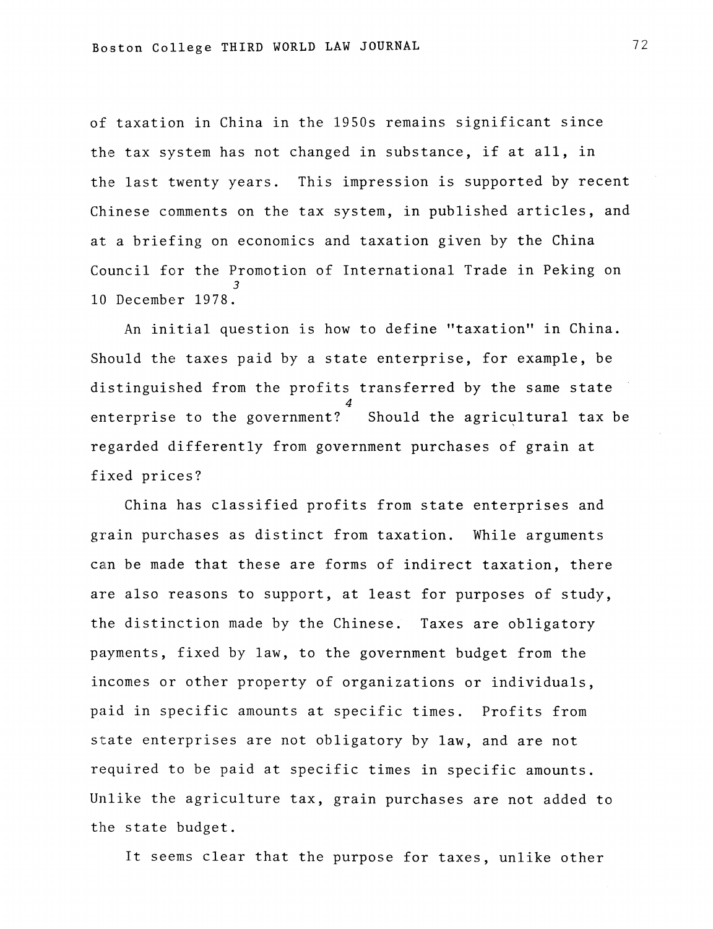of taxation in China in the 1950s remains significant since the tax system has not changed in substance, if at all, in the last twenty years. This impression is supported by recent Chinese comments on the tax system, in published articles, and at a briefing on economics and taxation given by the China Council for the Promotion of International Trade in Peking on 3 10 December 1978.

An initial question is how to define "taxation" in China. Should the taxes paid by a state enterprise, for example, be distinguished from the profits transferred by the same state 4 enterprise to the government? Should the agricultural tax be regarded differently from government purchases of grain at fixed prices?

China has classified profits from state enterprises and grain purchases as distinct from taxation. While arguments can be made that these are forms of indirect taxation, there are also reasons to support, at least for purposes of study, the distinction made by the Chinese. Taxes are obligatory payments, fixed by law, to the government budget from the incomes or other property of organizations or individuals, paid in specific amounts at specific times. Profits from state enterprises are not obligatory by law, and are not required to be paid at specific times in specific amounts. Unlike the agriculture tax, grain purchases are not added to the state budget.

It seems clear that the purpose for taxes, unlike other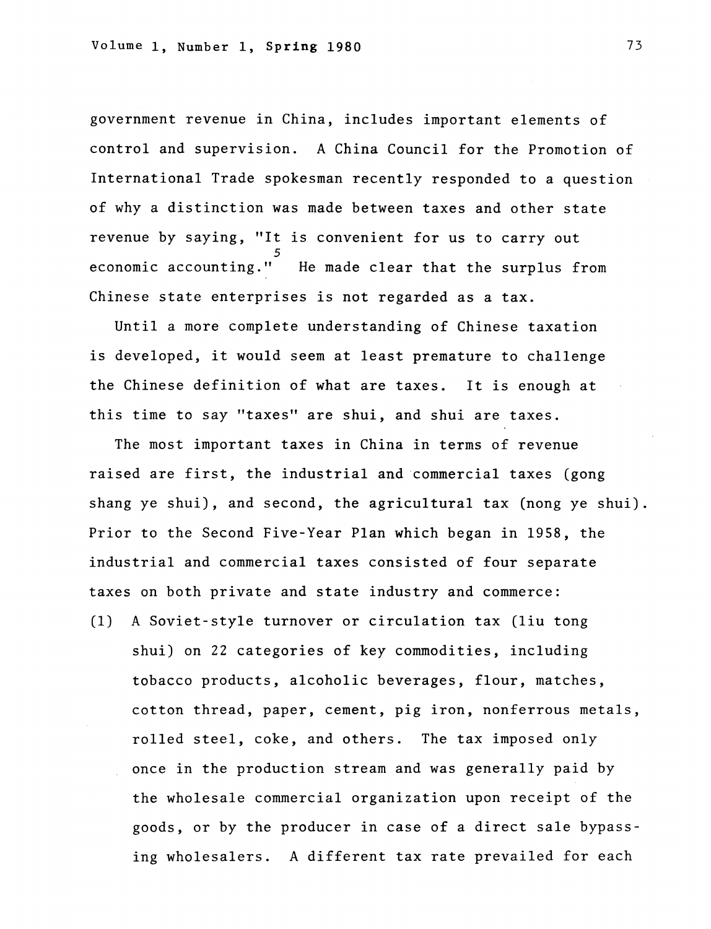government revenue in China, includes important elements of control and supervision. A China Council for the Promotion of International Trade spokesman recently responded to a question of why a distinction was made between taxes and other state revenue by saying, "It is convenient for us to carry out 5 economic accounting." He made clear that the surplus from Chinese state enterprises is not regarded as a tax.

Until a more complete understanding of Chinese taxation is developed, it would seem at least premature to challenge the Chinese definition of what are taxes. It is enough at this time to say "taxes" are shui, and shui are taxes.

The most important taxes in China in terms of revenue raised are first, the industrial and commercial taxes (gong shang ye shui), and second, the agricultural tax (nong ye shui). Prior to the Second Five-Year Plan which began in 1958, the industrial and commercial taxes consisted of four separate taxes on both private and state industry and commerce:

(1) A Soviet-style turnover or circulation tax (liu tong shui) on 22 categories of key commodities, including tobacco products, alcoholic beverages, flour, matches, cotton thread, paper, cement, pig iron, nonferrous metals, rolled steel, coke, and others. The tax imposed only once in the production stream and was generally paid by the wholesale commercial organization upon receipt of the goods, or by the producer in case of a direct sale bypassing wholesalers. A different tax rate prevailed for each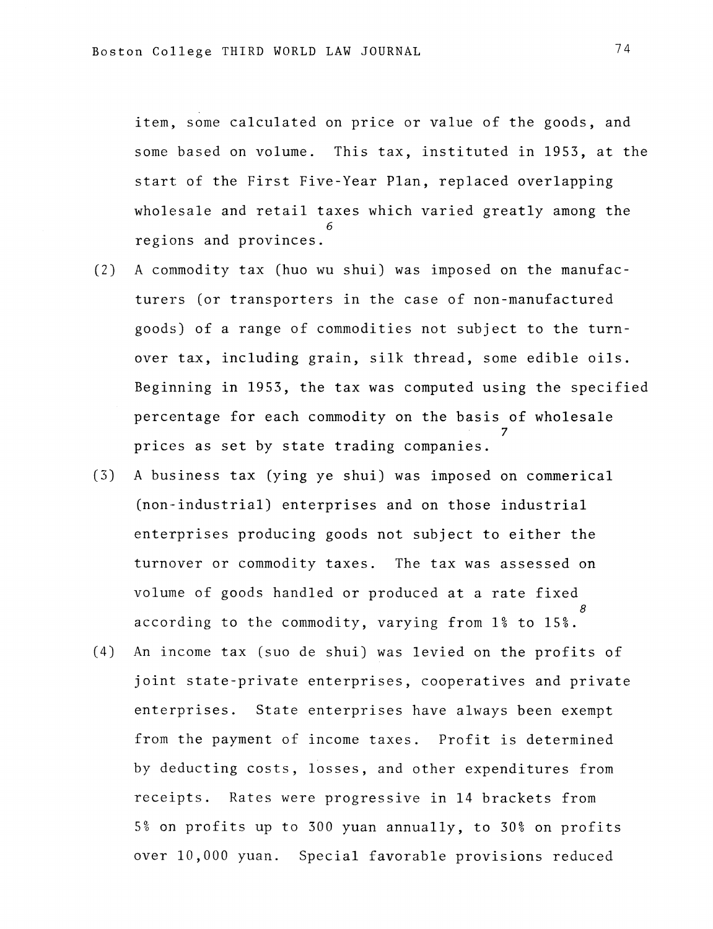item, some calculated on price or value of the goods, and some based on volume. This tax, instituted in 1953, at the start of the First Five-Year Plan, replaced overlapping wholesale and retail taxes which varied greatly among the 6 regions and provinces.

- (2) A commodity tax (huo wu shui) was imposed on the manufacturers (or transporters in the case of non-manufactured goods) of a range of commodities not subject to the turnover tax, including grain, silk thread, some edible oils. Beginning in 1953, the tax was computed using the specified percentage for each commodity on the basis of wholesale 7 prices as set by state trading companies.
- $(3)$  A business tax (ying ye shui) was imposed on commerical (non-industrial) enterprises and on those industrial enterprises producing goods not subject to either the turnover or commodity taxes. The tax was assessed on volume of goods handled or produced at a rate fixed 8 according to the commodity, varying from 1% to 15%.
- (4) An income tax (suo de shui) was levied on the profits of joint state-private enterprises, cooperatives and private enterprises. State enterprises have always been exempt from the payment of income taxes. Profit is determined by deducting costs, losses, and other expenditures from receipts. Rates were progressive in 14 brackets from 5% on profits up to 300 yuan annually, to 30% on profits over 10,000 yuan. Special favorable provisions reduced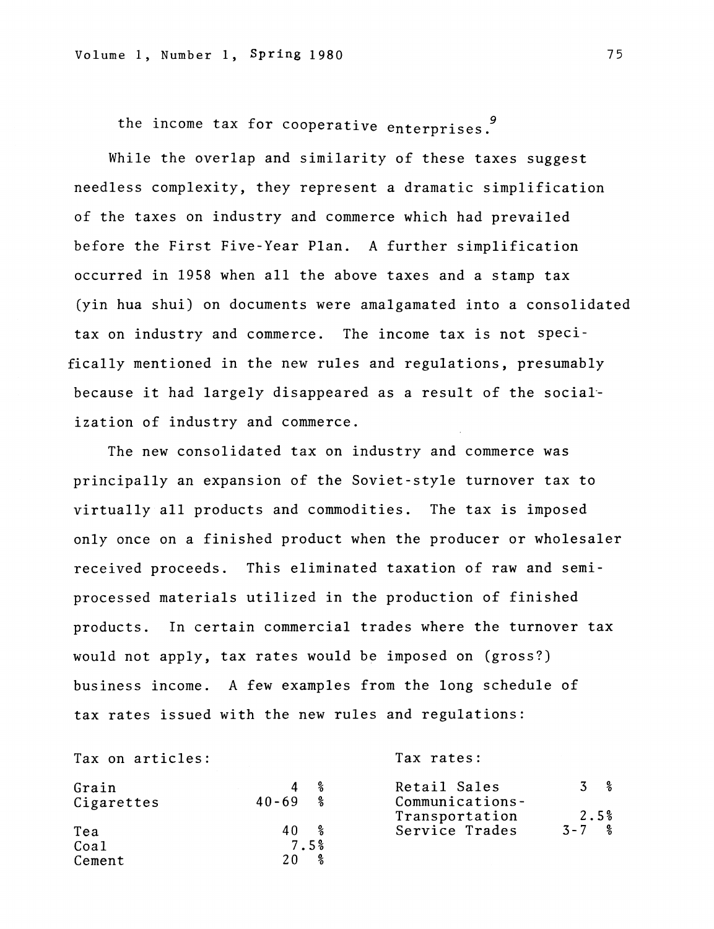the income tax for cooperative enterprises.<sup>9</sup>

While the overlap and similarity of these taxes suggest needless complexity, they represent a dramatic simplification of the taxes on industry and commerce which had prevailed before the First Five-Year Plan. A further simplification occurred in 1958 when all the above taxes and a stamp tax (yin hua shui) on documents were amalgamated into a consolidated tax on industry and commerce. The income tax is not specifically mentioned in the new rules and regulations, presumably because it had largely disappeared as a result of the socialization of industry and commerce.

The new consolidated tax on industry and commerce was principally an expansion of the Soviet-style turnover tax to virtually all products and commodities. The tax is imposed only once on a finished product when the producer or wholesaler received proceeds. This eliminated taxation of raw and semiprocessed materials utilized in the production of finished products. In certain commercial trades where the turnover tax would not apply, tax rates would be imposed on (gross?) business income. A few examples from the long schedule of tax rates issued with the new rules and regulations:

Tax on articles:

Tax rates:

| Grain<br>Cigarettes | °<br>$40 - 69$<br>°  | Retail Sales<br>Communications-<br>Transportation | %<br>2.5% |
|---------------------|----------------------|---------------------------------------------------|-----------|
| Tea                 | $\frac{1}{2}$<br>40. | Service Trades                                    | $3 - 7$ % |
| Coa1                | 7.5%                 |                                                   |           |
| Cement              | - 2<br>2.O           |                                                   |           |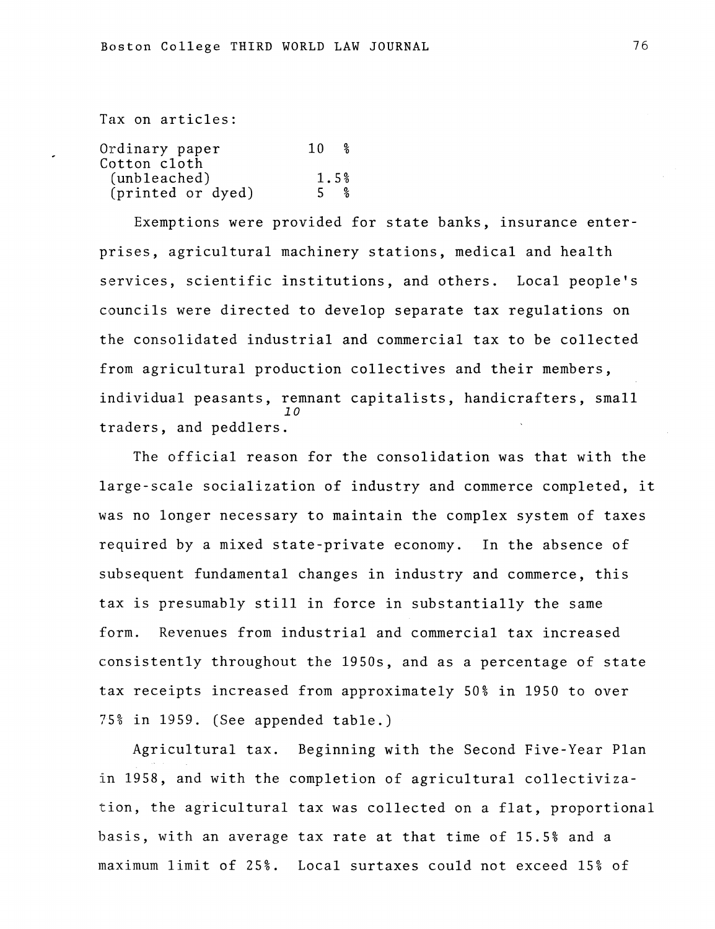Tax on articles:

| Ordinary paper    | 1 O<br>- %             |  |  |  |
|-------------------|------------------------|--|--|--|
| Cotton cloth      |                        |  |  |  |
| (unbleached)      | 1.5%                   |  |  |  |
| (printed or dyed) | $5 -$<br>$\frac{9}{6}$ |  |  |  |

Exemptions were provided for state banks, insurance enterprises, agricultural machinery stations, medical and health services, scientific institutions, and others. Local people's councils were directed to develop separate tax regulations on the consolidated industrial and commercial tax to be collected from agricultural production collectives and their members, individual peasants, remnant capitalists, handicrafters, small *10*  traders, and peddlers.

The official reason for the consolidation was that with the large-scale socialization of industry and commerce completed, it was no longer necessary to maintain the complex system of taxes required by a mixed state-private economy. In the absence of subsequent fundamental changes in industry and commerce, this tax is presumably still in force in substantially the same form. Revenues from industrial and commercial tax increased consistently throughout the 1950s, and as a percentage of state tax receipts increased from approximately 50% in 1950 to over 75% in 1959. (See appended table.)

Agricultural tax. Beginning with the Second Five-Year Plan in 1958, and with the completion of agricultural collectivization, the agricultural tax was collected on a flat, proportional basis, with an average tax rate at that time of 15.5% and a maximum limit of 25%. Local surtaxes could not exceed 15% of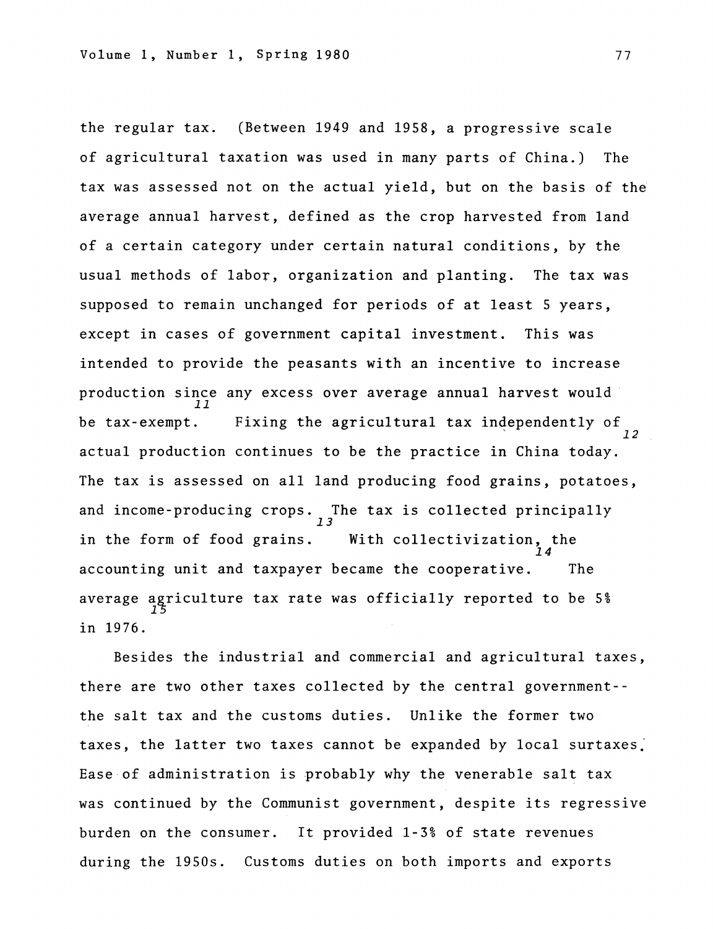the regular tax. (Between 1949 and 1958, a progressive scale of agricultural taxation was used in many parts of China.) The tax was assessed not on the actual yield, but on the basis of the average annual harvest, defined as the crop harvested from land of a certain category under certain natural conditions, by the usual methods of labor, organization and planting. The tax was supposed to remain unchanged for periods of at least 5 years, except in cases of government capital investment. This was intended to provide the peasants with an incentive to increase production since any excess over average annual harvest would 11 be tax-exempt. Fixing the agricultural tax independently of  $\frac{1}{2}$ actual production continues to be the practice in China today. The tax is assessed on all land producing food grains, potatoes, and income-producing crops. The tax is collected principally in the form of food grains. With collectivization, the accounting unit and taxpayer became the cooperative. The average agriculture tax rate was officially reported to be 5% in 1976.

Besides the industrial and commercial and agricultural taxes, there are two other taxes collected by the central government- the salt tax and the customs duties. Unlike the former two taxes, the latter two taxes cannot be expanded by local surtaxes; Ease of administration is probably why the venerable salt tax was continued by the Communist government, despite its regressive burden on the consumer. It provided 1-3% of state revenues during the 1950s. Customs duties on both imports and exports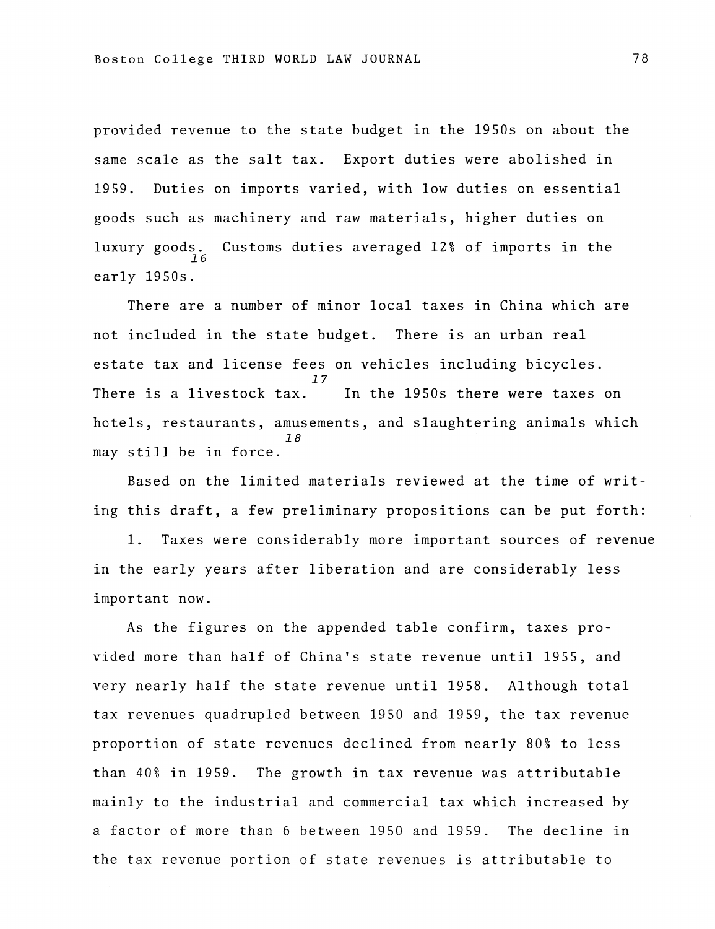provided revenue to the state budget in the 1950s on about the same scale as the salt tax. Export duties were abolished in 1959. Duties on imports varied, with low duties on essential goods such as machinery and raw materials, higher duties on Customs duties averaged 12% of imports in the luxury goods. early 1950s.

There are a number of minor local taxes in China which are not included in the state budget. There is an urban real estate tax and license fees on vehicles including bicycles. <sup>17</sup><br>There is a livestock tax. In the 1950s there were taxes on hotels, restaurants, amusements, and slaughtering animals which 18 may still be in force.

Based on the limited materials reviewed at the time of writing this draft, a few preliminary propositions can be put forth:

1. Taxes were considerably more important sources of revenue in the early years after liberation and are considerably less important now.

As the figures on the appended table confirm, taxes provided more than half of China's state revenue until 1955, and very nearly half the state revenue until 1958. Although total tax revenues quadrupled between 1950 and 1959, the tax revenue proportion of state revenues declined from nearly 80% to less than 40% in 1959. The growth in tax revenue was attributable mainly to the industrial and commercial tax which increased by a factor of more than 6 between 1950 and 1959. The decline in the tax revenue portion of state revenues is attributable to

78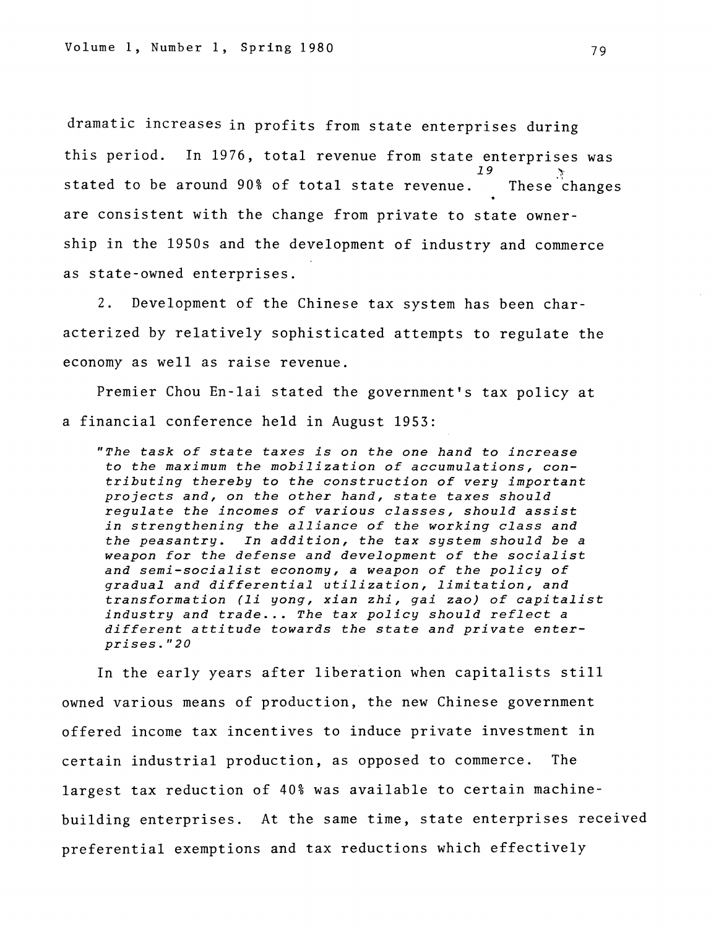dramatic increases in profits from state enterprises during this period. In 1976, total revenue from state enterprises was *19* <sup>~</sup> stated to be around 90% of total state revenue. These changes are consistent with the change from private to state ownership in the 1950s and the development of industry and commerce as state-owned enterprises.

2. Development of the Chinese tax system has been characterized by relatively sophisticated attempts to regulate the economy as well as raise revenue.

Premier Chou En-Iai stated the government's tax policy at a financial conference held in August 1953:

*"The task of state taxes is on the one hand* to *increase*  to *the maximum the mobilization of accumulations, contributing thereby* to *the construction of very important projects and, on the other hand, state taxes should regulate the incomes of various classes, should assist in strengthening the alliance of the working class and the peasantry. In addition, the tax system should be a weapon for the defense and development of the socialist and semi-socialist economy, a weapon of the policy of gradual and differential utilization, limitation, and transformation (li yong, xian zhi, gai zao) of capitalist industry and trade ... The tax policy should reflect a different attitude towards the state and private enterprises."20* 

In the early years after liberation when capitalists still owned various means of production, the new Chinese government offered income tax incentives to induce private investment in certain industrial production, as opposed to commerce. The largest tax reduction of 40% was available to certain machinebuilding enterprises. At the same time, state enterprises received preferential exemptions and tax reductions which effectively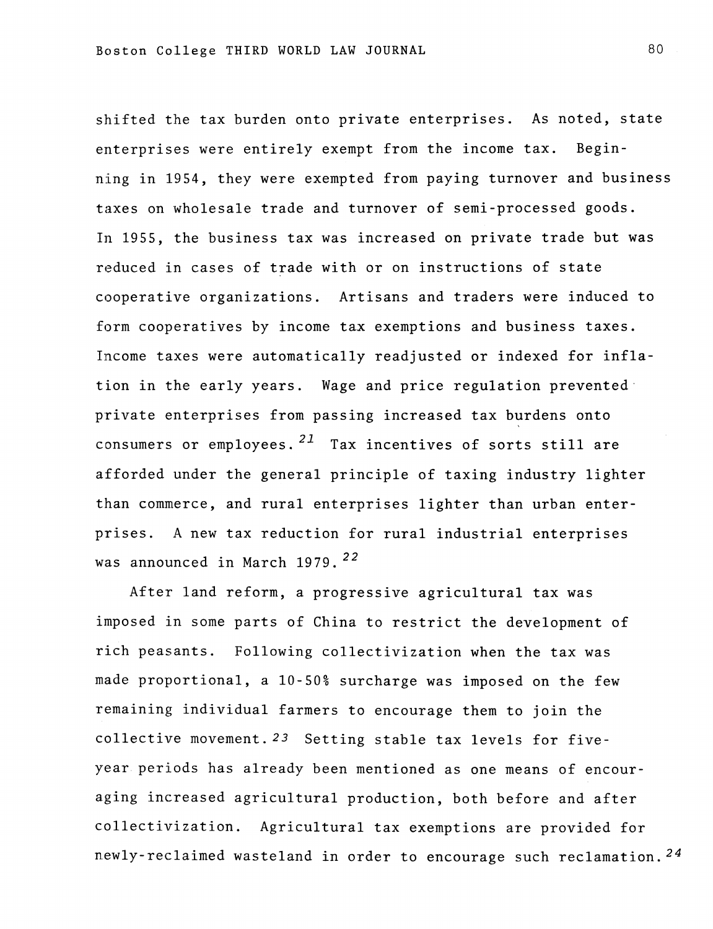shifted the tax burden onto private enterprises. As noted, state enterprises were entirely exempt from the income tax. Beginning in 1954, they were exempted from paying turnover and business taxes on wholesale trade and turnover of semi-processed goods. In 1955, the business tax was increased on private trade but was reduced in cases of trade with or on instructions of state cooperative organizations. Artisans and traders were induced to form cooperatives by income tax exemptions and business taxes. Income taxes were automatically readjusted or indexed for inflation in the early years. Wage and price regulation prevented private enterprises from passing increased tax burdens onto consumers or employees.  $2^1$  Tax incentives of sorts still are afforded under the general principle of taxing industry lighter than commerce, and rural enterprises lighter than urban enterprises. A new tax reduction for rural industrial enterprises was announced in March 1979.<sup>22</sup>

After land reform, a progressive agricultural tax was imposed in some parts of China to restrict the development of rich peasants. Following collectivization when the tax was made proportional, a 10-50% surcharge was imposed on the few remaining individual farmers to encourage them to join the collective movement. 23 Setting stable tax levels for fiveyear periods has already been mentioned as one means of encouraging increased agricultural production, both before and after collectivization. Agricultural tax exemptions are provided for newly-reclaimed wasteland in order to encourage such reclamation. <sup>24</sup>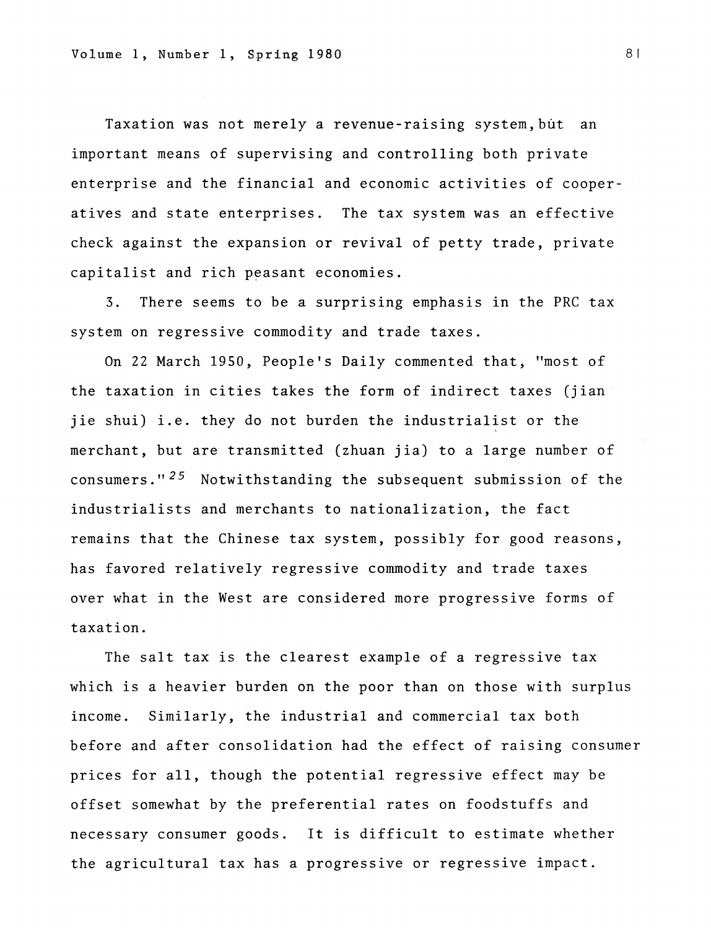Taxation was not merely a revenue-raising system, but an important means of supervising and controlling both private enterprise and the financial and economic activities of cooperatives and state enterprises. The tax system was an effective check against the expansion or revival of petty trade, private capitalist and rich peasant economies.

3. There seems to be a surprising emphasis in the PRC tax system on regressive commodity and trade taxes.

On 22 March 1950, People's Daily commented that, "most of the taxation in cities takes the form of indirect taxes (jian jie shui) i.e. they do not burden the industrialist or the merchant, but are transmitted (zhuan jia) to a large number of consumers."<sup>25</sup> Notwithstanding the subsequent submission of the industrialists and merchants to nationalization, the fact remains that the Chinese tax system, possibly for good reasons, has favored relatively regressive commodity and trade taxes over what in the West are considered more progressive forms of taxation.

The salt tax is the clearest example of a regressive tax which is a heavier burden on the poor than on those with surplus income. Similarly, the industrial and commercial tax both before and after consolidation had the effect of raising consumer prices for all, though the potential regressive effect may be offset somewhat by the preferential rates on foodstuffs and necessary consumer goods. It is difficult to estimate whether the agricultural tax has a progressive or regressive impact.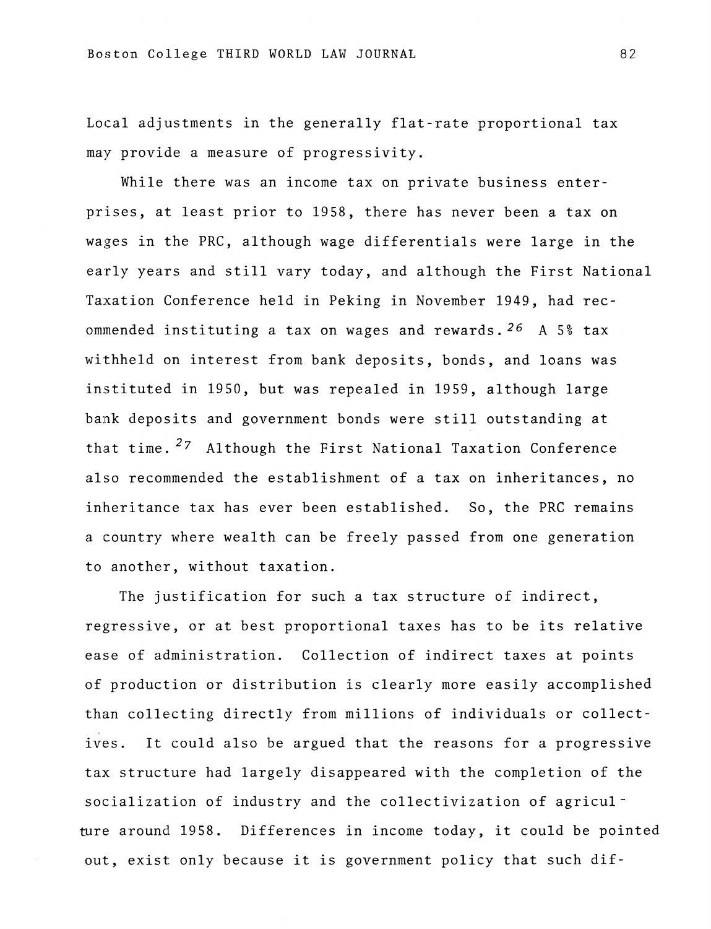Local adjustments in the generally flat-rate proportional tax may provide a measure of progressivity.

While there was an income tax on private business enterprises, at least prior to 1958, there has never been a tax on wages in the PRC, although wage differentials were large in the early years and still vary today, and although the First National Taxation Conference held in Peking in November 1949, had recommended instituting a tax on wages and rewards.  $26$  A 5% tax withheld on interest from bank deposits, bonds, and loans was instituted in 1950, but was repealed in 1959, although large bank deposits and government bonds were still outstanding at that time. <sup>27</sup> Although the First National Taxation Conference also recommended the establishment of a tax on inheritances, no inheritance tax has ever been established. So, the PRC remains a country where wealth can be freely passed from one generation to another, without taxation.

The justification for such a tax structure of indirect, regressive, or at best proportional taxes has to be its relative ease of administration. Collection of indirect taxes at points of production or distribution is clearly more easily accomplished than collecting directly from millions of individuals or collectives. It could also be argued that the reasons for a progressive tax structure had largely disappeared with the completion of the socialization of industry and the collectivization of agriculture around 1958. Differences in income today, it could be pointed out, exist only because it is government policy that such dif-

82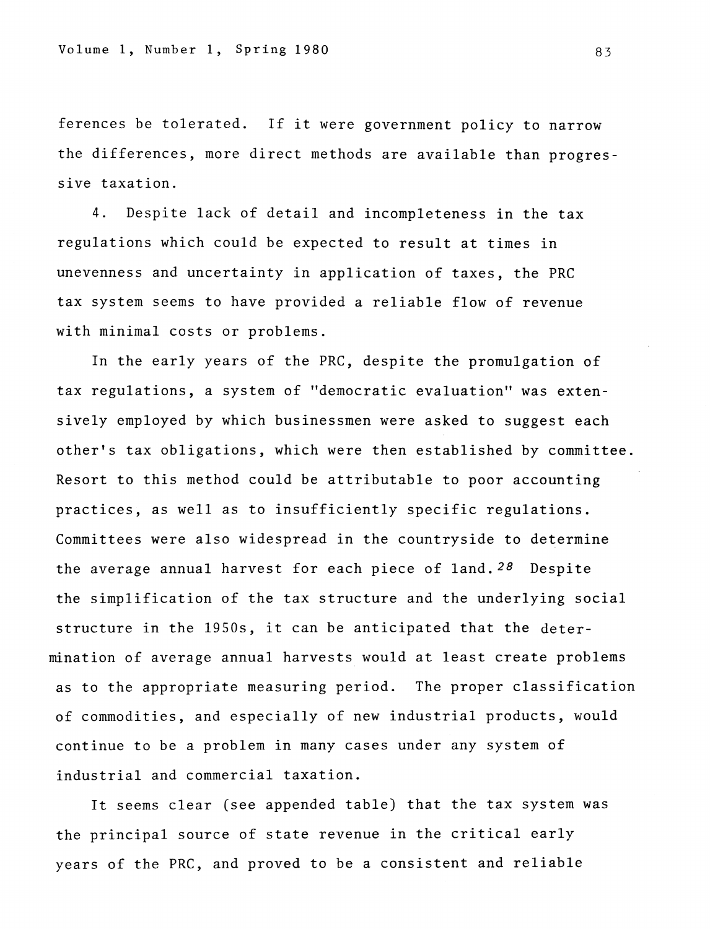ferences be tolerated. If it were government policy to narrow the differences, more direct methods are available than progressive taxation.

4. Despite lack of detail and incompleteness in the tax regulations which could be expected to result at times in unevenness and uncertainty in application of taxes, the PRC tax system seems to have provided a reliable flow of revenue with minimal costs or problems.

In the early years of the PRC, despite the promulgation of tax regulations, a system of "democratic evaluation" was extensively employed by which businessmen were asked to suggest each other's tax obligations, which were then established by committee. Resort to this method could be attributable to poor accounting practices, as well as to insufficiently specific regulations. Committees were also widespread in the countryside to determine the average annual harvest for each piece of land. 28 Despite the simplification of the tax structure and the underlying social structure in the 1950s, it can be anticipated that the determination of average annual harvests would at least create problems as to the appropriate measuring period. The proper classification of commodities, and especially of new industrial products, would continue to be a problem in many cases under any system of industrial and commercial taxation.

It seems clear (see appended table) that the tax system was the principal source of state revenue in the critical early years of the PRC, and proved to be a consistent and reliable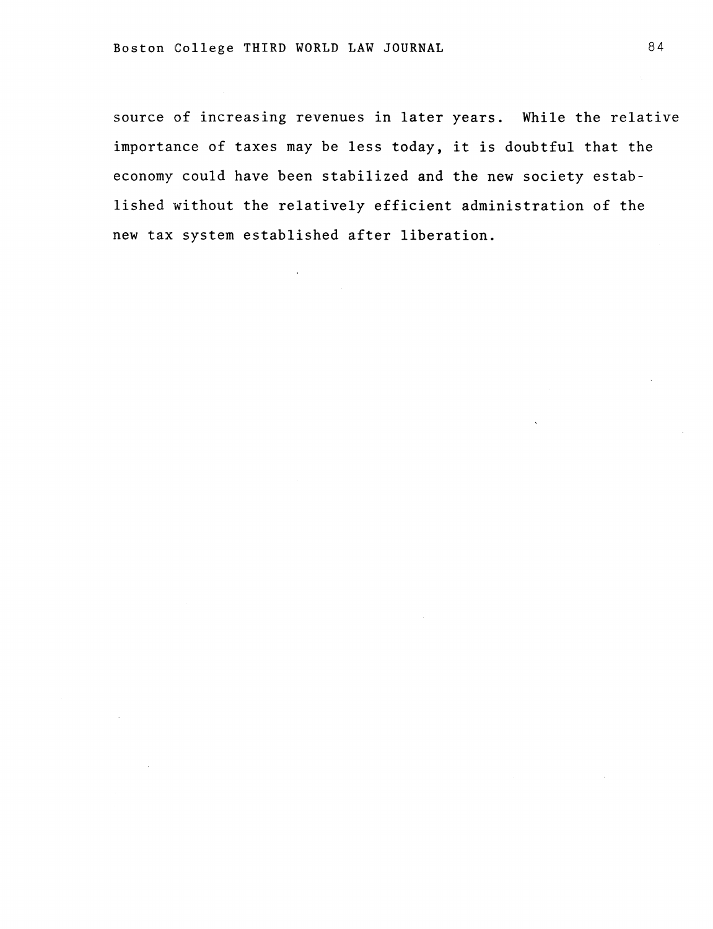$\ddot{\phantom{a}}$ 

source of increasing revenues in later years. While the relative importance of taxes may be less today, it is doubtful that the economy could have been stabilized and the new society established without the relatively efficient administration of the new tax system established after liberation.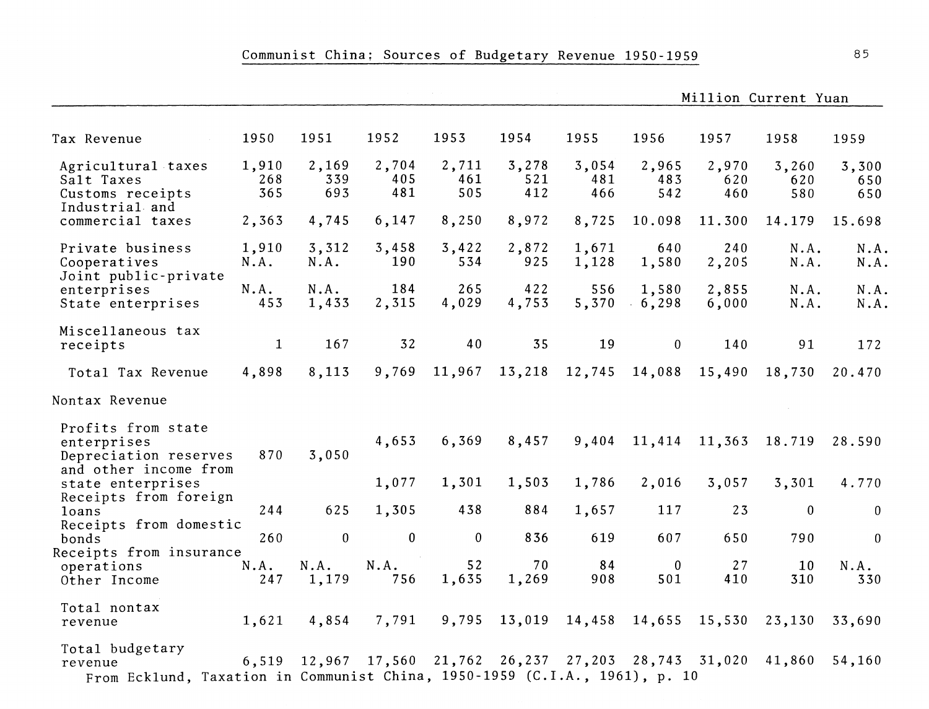|                                                                                                                            |                     |                     |                     |                     |                     |                     | Million Current Yuan                      |                     |                     |                     |
|----------------------------------------------------------------------------------------------------------------------------|---------------------|---------------------|---------------------|---------------------|---------------------|---------------------|-------------------------------------------|---------------------|---------------------|---------------------|
| Tax Revenue                                                                                                                | 1950                | 1951                | 1952                | 1953                | 1954                | 1955                | 1956                                      | 1957                | 1958                | 1959                |
| Agricultural taxes<br>Salt Taxes<br>Customs receipts<br>Industrial and<br>commercial taxes                                 | 1,910<br>268<br>365 | 2,169<br>339<br>693 | 2,704<br>405<br>481 | 2,711<br>461<br>505 | 3,278<br>521<br>412 | 3,054<br>481<br>466 | 2,965<br>483<br>542                       | 2,970<br>620<br>460 | 3,260<br>620<br>580 | 3,300<br>650<br>650 |
|                                                                                                                            | 2,363               | 4,745               | 6,147               | 8,250               | 8,972               | 8,725               | 10.098                                    | 11.300              | 14.179              | 15.698              |
| Private business<br>Cooperatives<br>Joint public-private<br>enterprises<br>State enterprises                               | 1,910<br>N.A.       | 3,312<br>N.A.       | 3,458<br>190        | 3,422<br>534        | 2,872<br>925        | 1,671<br>1,128      | 640<br>1,580                              | 240<br>2,205        | N.A.<br>N.A.        | N.A.<br>N.A.        |
|                                                                                                                            | N.A.<br>453         | N.A.<br>1,433       | 184<br>2,315        | 265<br>4,029        | 422<br>4,753        | 556<br>5,370        | 1,580<br>6,298                            | 2,855<br>6,000      | N.A.<br>N.A.        | N.A.<br>N.A.        |
| Miscellaneous tax<br>receipts                                                                                              | $\mathbf{1}$        | 167                 | 32                  | 40                  | 35                  | 19                  | $\overline{0}$                            | 140                 | 91                  | 172                 |
| Total Tax Revenue                                                                                                          | 4,898               | 8,113               | 9,769               | 11,967              | 13,218              | 12,745              | 14,088                                    | 15,490              | 18,730              | 20.470              |
| Nontax Revenue                                                                                                             |                     |                     |                     |                     |                     |                     |                                           |                     |                     |                     |
| Profits from state<br>enterprises<br>Depreciation reserves<br>and other income from                                        | 870                 | 3,050               | 4,653               | 6,369               | 8,457               | 9,404               | 11,414                                    | 11,363              | 18.719              | 28.590              |
| state enterprises                                                                                                          |                     |                     | 1,077               | 1,301               | 1,503               | 1,786               | 2,016                                     | 3,057               | 3,301               | 4.770               |
| Receipts from foreign<br>loans<br>Receipts from domestic<br>bonds<br>Receipts from insurance<br>operations<br>Other Income | 244                 | 625                 | 1,305               | 438                 | 884                 | 1,657               | 117                                       | 23                  | $\mathbf{0}$        | $\overline{0}$      |
|                                                                                                                            | 260                 | $\boldsymbol{0}$    | 0                   | $\mathbf{0}$        | 836                 | 619                 | 607                                       | 650                 | 790                 | $\mathbf{0}$        |
|                                                                                                                            | N.A.<br>247         | N.A.<br>1,179       | N.A.<br>756         | 52<br>1,635         | 70<br>1,269         | 84<br>908           | $\bf{0}$<br>501                           | 27<br>410           | $10\,$<br>310       | N.A.<br>330         |
| Total nontax<br>revenue                                                                                                    | 1,621               | 4,854               | 7,791               | 9,795               | 13,019              | 14,458              | 14,655                                    | 15,530              | 23,130              | 33,690              |
| Total budgetary<br>revenue<br>From Ecklund, Taxation in Communist China, 1950-1959 (C.I.A., 1961), p. 10                   | 6,519               | 12,967              |                     |                     |                     |                     | 17,560 21,762 26,237 27,203 28,743 31,020 |                     | 41,860              | 54,160              |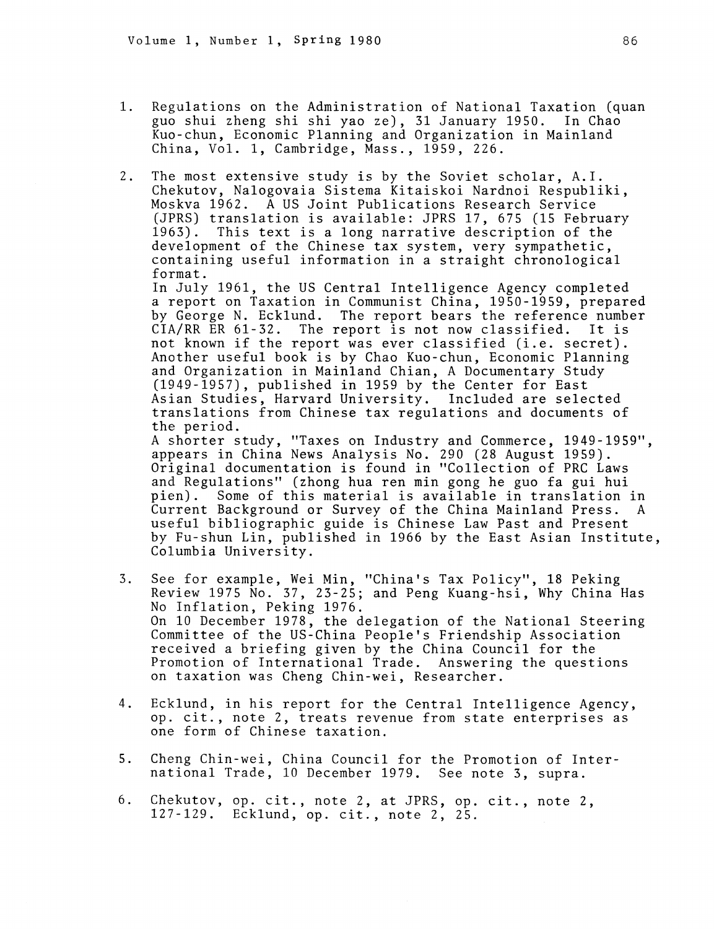- 1. Regulations on the Administration of National Taxation (quan guo shui zheng shi shi yao ze), 31 January 1950. In Chao Kuo-chun, Economic Planning and Organization in Mainland China, Vol. 1, Cambridge, Mass., 1959, 226.
- 2. The most extensive study is by the Soviet scholar, A.I. Chekutov, Nalogovaia Sistema Kitaiskoi Nardnoi Respubliki, Moskva 1962. A US Joint Publications Research Service (JPRS) translation is available: JPRS 17, 675 (15 February 1963). This text is a long narrative description of the development of the Chinese tax system, very sympathetic, containing useful information in a straight chronological format.

In July 1961, the US Central Intelligence Agency completed a report on Taxation in Communist China, 1950-1959, prepared by George N. Ecklund. The report bears the reference number CIA/RR ER 61-32. The report is not now classified. It is not known if the report was ever classified (i.e. secret). Another useful book is by Chao Kuo-chun, Economic Planning and Organization in Mainland Chian, A Documentary Study (1949-1957), published in 1959 by the Center for East Asian Studies, Harvard University. Included are selected translations from Chinese tax regulations and documents of the period.

A shorter study, "Taxes on Industry and Commerce, 1949-1959", appears in China News Analysis No. 290 (28 August 1959). Original documentation is found in "Collection of PRC Laws and Regulations" (zhong hua ren min gong he guo fa gui hui pien). Some of this material is available in translation in Current Background or Survey of the China Mainland Press. A useful bibliographic guide is Chinese Law Past and Present by Fu-shun Lin, published in 1966 by the East Asian Institute, Columbia University.

- 3. See for example, Wei Min, "China's Tax Policy", 18 Peking Review 1975 No. 37, 23-25; and Peng Kuang-hsi, Why China Has No Inflation, Peking 1976. On 10 December 1978, the delegation of the National Steering Committee of the US-China People's Friendship Association received a briefing given by the China Council for the Promotion of International Trade. Answering the questions on taxation was Cheng Chin-wei, Researcher.
- 4. Ecklund, in his report for the Central Intelligence Agency, op. cit., note 2, treats revenue from state enterprises as one form of Chinese taxation.
- 5. Cheng Chin-wei, China Council for the Promotion of International Trade, 10 December 1979. See note 3, supra.
- 6. Chekutov, op. cit., note 2, at JPRS, op. cit., note 2, 127-129. Ecklund, op. cit., note 2,25.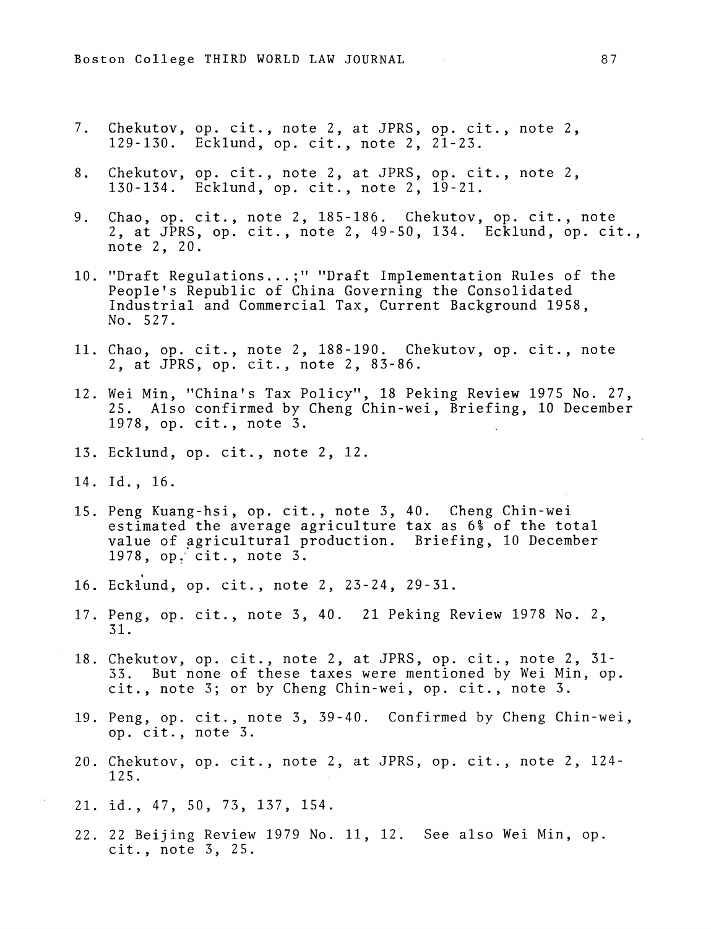- 7. Chekutov, op. cit., note 2, at JPRS, op. cit., note 2, 129-130. Ecklund, op. cit. , note 2, 21-23.
- 8. Chekutov, op. cit., note 2, at JPRS, op. cit., note 2, 130-134. Ecklund, op. cit., note 2, 19-21.
- 9. Chao, op. cit., note 2, 185-186. Chekutov, op. cit., note 2, at JPRS, op. cit., note 2, 49-50, 134. Ecklund, op. cit., note 2, 20.
- 10. "Draft Regulations ... ;" "Draft Implementation Rules of the People's Republic of China Governing the Consolidated Industrial and Commercial Tax, Current Background 1958, No. 527.
- 11. Chao, op. cit., note 2, 188-190. Chekutov, op. cit., note 2, at JPRS, op. cit., note 2, 83-86.
- 12. Wei Min, "China's Tax Policy", 18 Peking Review 1975 No. 27, 25. Also confirmed by Cheng Chin-wei, Briefing, 10 December 1978, op. cit., note 3.
- 13. Ecklund, op. cit., note 2, 12.
- 14. Id., 16.
- 15. Peng Kuang-hsi, op. cit., note 3, 40. Cheng Chin-wei estimated the average agriculture tax as 6% of the total value of agricultural production. Briefing, 10 December 1978, op: cit., note 3 .
- 16. Ecklund, op. cit., note 2, 23-24, 29-31.
- 17. Peng, op. cit., note 3, 40. 21 Peking Review 1978 No.2, 31.
- 18. Chekutov, op. cit., note 2, at JPRS, op. cit., note 2, 31- 33. But none of these taxes were mentioned by Wei Min, op. cit., note 3; or by Cheng Chin-wei, op. cit., note 3.
- 19. Peng, op. cit., note 3, 39-40. Confirmed by Cheng Chin-wei, op. cit., note 3.
- 20. Chekutov, op. cit., note 2, at JPRS, op. cit., note 2, 124- 125.
- 21. id., 47, 50, 73, 137, 154.
- 22. 22 Beijing Review 1979 No. 11, 12. See also Wei Min, op. cit., note 3, 25.